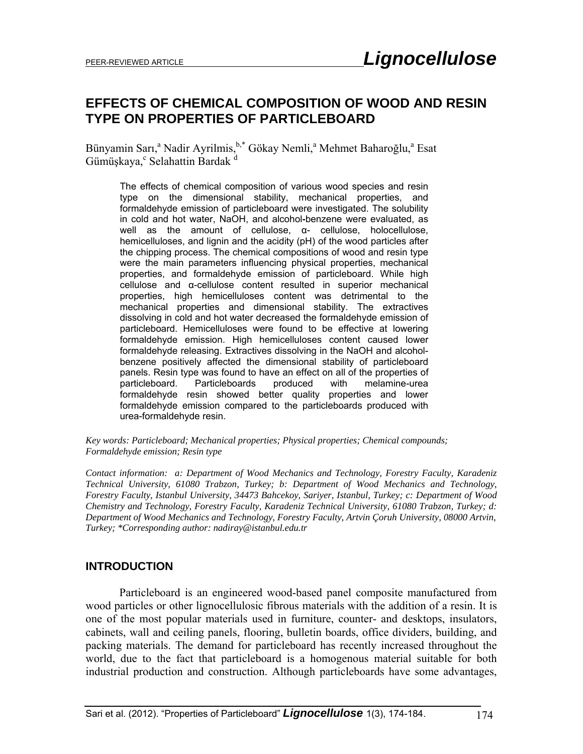# **EFFECTS OF CHEMICAL COMPOSITION OF WOOD AND RESIN TYPE ON PROPERTIES OF PARTICLEBOARD**

Bünyamin Sarı,<sup>a</sup> Nadir Ayrilmis, <sup>b,\*</sup> Gökay Nemli,<sup>a</sup> Mehmet Baharoğlu,<sup>a</sup> Esat Gümüşkaya, <sup>c</sup> Selahattin Bardak <sup>d</sup>

The effects of chemical composition of various wood species and resin type on the dimensional stability, mechanical properties, and formaldehyde emission of particleboard were investigated. The solubility in cold and hot water, NaOH, and alcohol**-**benzene were evaluated, as well as the amount of cellulose, α- cellulose, holocellulose, hemicelluloses, and lignin and the acidity (pH) of the wood particles after the chipping process. The chemical compositions of wood and resin type were the main parameters influencing physical properties, mechanical properties, and formaldehyde emission of particleboard. While high cellulose and α-cellulose content resulted in superior mechanical properties, high hemicelluloses content was detrimental to the mechanical properties and dimensional stability. The extractives dissolving in cold and hot water decreased the formaldehyde emission of particleboard. Hemicelluloses were found to be effective at lowering formaldehyde emission. High hemicelluloses content caused lower formaldehyde releasing. Extractives dissolving in the NaOH and alcoholbenzene positively affected the dimensional stability of particleboard panels. Resin type was found to have an effect on all of the properties of particleboard. Particleboards produced with melamine-urea formaldehyde resin showed better quality properties and lower formaldehyde emission compared to the particleboards produced with urea-formaldehyde resin.

#### *Key words: Particleboard; Mechanical properties; Physical properties; Chemical compounds; Formaldehyde emission; Resin type*

*Contact information:**a: Department of Wood Mechanics and Technology, Forestry Faculty, Karadeniz Technical University, 61080 Trabzon, Turkey; b: Department of Wood Mechanics and Technology, Forestry Faculty, Istanbul University, 34473 Bahcekoy, Sariyer, Istanbul, Turkey; c: Department of Wood Chemistry and Technology, Forestry Faculty, Karadeniz Technical University, 61080 Trabzon, Turkey; d: Department of Wood Mechanics and Technology, Forestry Faculty, Artvin Çoruh University, 08000 Artvin, Turkey; \*Corresponding author: nadiray@istanbul.edu.tr* 

### **INTRODUCTION**

Particleboard is an engineered wood-based panel composite manufactured from wood particles or other lignocellulosic fibrous materials with the addition of a resin. It is one of the most popular materials used in furniture, counter- and desktops, insulators, cabinets, wall and ceiling panels, flooring, bulletin boards, office dividers, building, and packing materials. The demand for particleboard has recently increased throughout the world, due to the fact that particleboard is a homogenous material suitable for both industrial production and construction. Although particleboards have some advantages,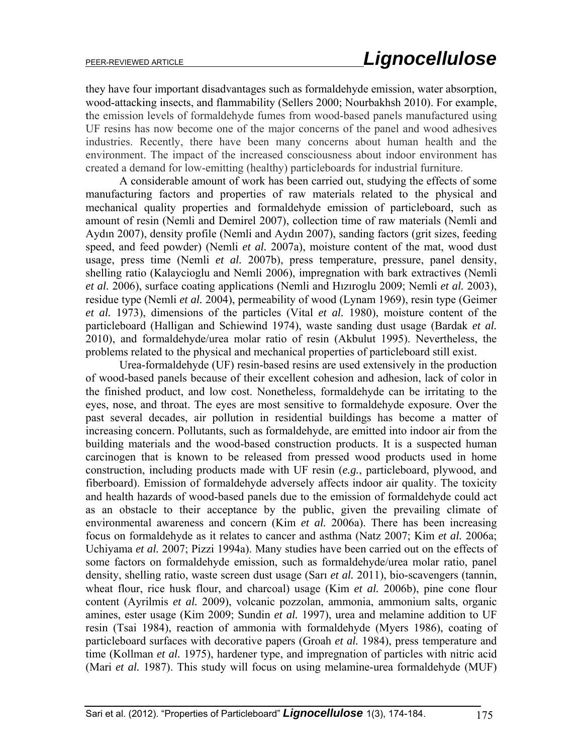they have four important disadvantages such as formaldehyde emission, water absorption, wood-attacking insects, and flammability (Sellers 2000; Nourbakhsh 2010). For example, the emission levels of formaldehyde fumes from wood-based panels manufactured using UF resins has now become one of the major concerns of the panel and wood adhesives industries. Recently, there have been many concerns about human health and the environment. The impact of the increased consciousness about indoor environment has created a demand for low-emitting (healthy) particleboards for industrial furniture.

A considerable amount of work has been carried out, studying the effects of some manufacturing factors and properties of raw materials related to the physical and mechanical quality properties and formaldehyde emission of particleboard, such as amount of resin (Nemli and Demirel 2007), collection time of raw materials (Nemli and Aydın 2007), density profile (Nemli and Aydın 2007), sanding factors (grit sizes, feeding speed, and feed powder) (Nemli *et al.* 2007a), moisture content of the mat, wood dust usage, press time (Nemli *et al.* 2007b), press temperature, pressure, panel density, shelling ratio (Kalaycioglu and Nemli 2006), impregnation with bark extractives (Nemli *et al.* 2006), surface coating applications (Nemli and Hızıroglu 2009; Nemli *et al.* 2003), residue type (Nemli *et al.* 2004), permeability of wood (Lynam 1969), resin type (Geimer *et al.* 1973), dimensions of the particles (Vital *et al.* 1980), moisture content of the particleboard (Halligan and Schiewind 1974), waste sanding dust usage (Bardak *et al.* 2010), and formaldehyde/urea molar ratio of resin (Akbulut 1995). Nevertheless, the problems related to the physical and mechanical properties of particleboard still exist.

Urea-formaldehyde (UF) resin-based resins are used extensively in the production of wood-based panels because of their excellent cohesion and adhesion, lack of color in the finished product, and low cost. Nonetheless, formaldehyde can be irritating to the eyes, nose, and throat. The eyes are most sensitive to formaldehyde exposure. Over the past several decades, air pollution in residential buildings has become a matter of increasing concern. Pollutants, such as formaldehyde, are emitted into indoor air from the building materials and the wood-based construction products. It is a suspected human carcinogen that is known to be released from pressed wood products used in home construction, including products made with UF resin (*e.g.*, particleboard, plywood, and fiberboard). Emission of formaldehyde adversely affects indoor air quality. The toxicity and health hazards of wood-based panels due to the emission of formaldehyde could act as an obstacle to their acceptance by the public, given the prevailing climate of environmental awareness and concern (Kim *et al.* 2006a). There has been increasing focus on formaldehyde as it relates to cancer and asthma (Natz 2007; Kim *et al.* 2006a; Uchiyama *et al.* 2007; Pizzi 1994a). Many studies have been carried out on the effects of some factors on formaldehyde emission, such as formaldehyde/urea molar ratio, panel density, shelling ratio, waste screen dust usage (Sarı *et al.* 2011), bio-scavengers (tannin, wheat flour, rice husk flour, and charcoal) usage (Kim *et al.* 2006b), pine cone flour content (Ayrilmis *et al.* 2009), volcanic pozzolan, ammonia, ammonium salts, organic amines, ester usage (Kim 2009; Sundin *et al.* 1997), urea and melamine addition to UF resin (Tsai 1984), reaction of ammonia with formaldehyde (Myers 1986), coating of particleboard surfaces with decorative papers (Groah *et al.* 1984), press temperature and time (Kollman *et al.* 1975), hardener type, and impregnation of particles with nitric acid (Mari *et al.* 1987). This study will focus on using melamine-urea formaldehyde (MUF)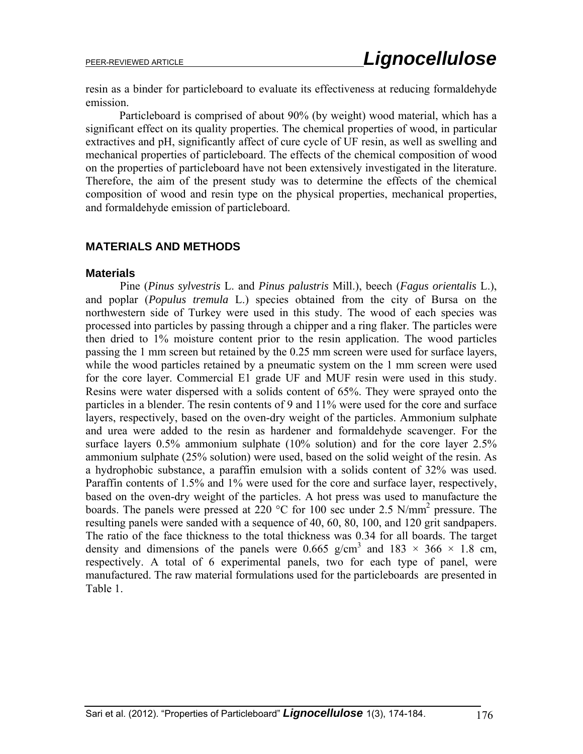resin as a binder for particleboard to evaluate its effectiveness at reducing formaldehyde emission.

Particleboard is comprised of about 90% (by weight) wood material, which has a significant effect on its quality properties. The chemical properties of wood, in particular extractives and pH, significantly affect of cure cycle of UF resin, as well as swelling and mechanical properties of particleboard. The effects of the chemical composition of wood on the properties of particleboard have not been extensively investigated in the literature. Therefore, the aim of the present study was to determine the effects of the chemical composition of wood and resin type on the physical properties, mechanical properties, and formaldehyde emission of particleboard.

### **MATERIALS AND METHODS**

#### **Materials**

Pine (*Pinus sylvestris* L. and *Pinus palustris* Mill.), beech (*Fagus orientalis* L.), and poplar (*Populus tremula* L.) species obtained from the city of Bursa on the northwestern side of Turkey were used in this study. The wood of each species was processed into particles by passing through a chipper and a ring flaker. The particles were then dried to 1% moisture content prior to the resin application. The wood particles passing the 1 mm screen but retained by the 0.25 mm screen were used for surface layers, while the wood particles retained by a pneumatic system on the 1 mm screen were used for the core layer. Commercial E1 grade UF and MUF resin were used in this study. Resins were water dispersed with a solids content of 65%. They were sprayed onto the particles in a blender. The resin contents of 9 and 11% were used for the core and surface layers, respectively, based on the oven-dry weight of the particles. Ammonium sulphate and urea were added to the resin as hardener and formaldehyde scavenger. For the surface layers 0.5% ammonium sulphate (10% solution) and for the core layer 2.5% ammonium sulphate (25% solution) were used, based on the solid weight of the resin. As a hydrophobic substance, a paraffin emulsion with a solids content of 32% was used. Paraffin contents of 1.5% and 1% were used for the core and surface layer, respectively, based on the oven-dry weight of the particles. A hot press was used to manufacture the boards. The panels were pressed at 220 °C for 100 sec under 2.5 N/mm<sup>2</sup> pressure. The resulting panels were sanded with a sequence of 40, 60, 80, 100, and 120 grit sandpapers. The ratio of the face thickness to the total thickness was 0.34 for all boards. The target density and dimensions of the panels were 0.665 g/cm<sup>3</sup> and 183  $\times$  366  $\times$  1.8 cm, respectively. A total of 6 experimental panels, two for each type of panel, were manufactured. The raw material formulations used for the particleboards are presented in Table 1.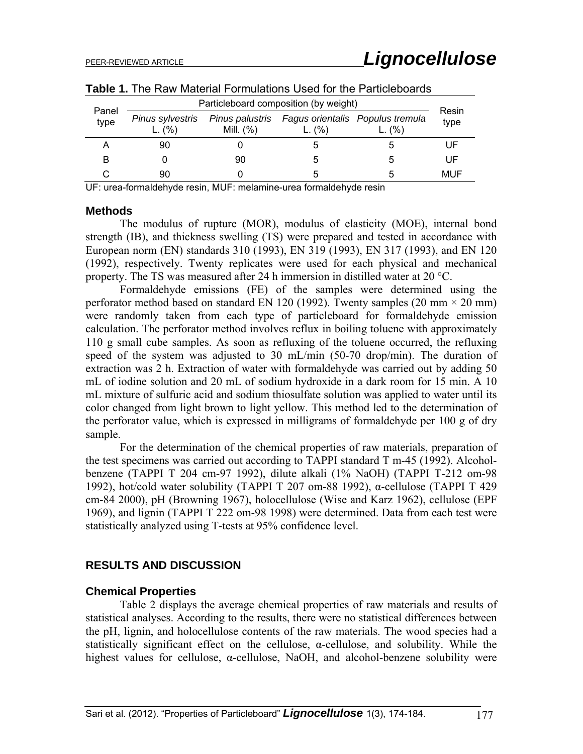| Panel<br>type | Particleboard composition (by weight) |                                |                                               |        |               |  |
|---------------|---------------------------------------|--------------------------------|-----------------------------------------------|--------|---------------|--|
|               | Pinus sylvestris<br>L. $(% )$         | Pinus palustris<br>Mill. $(%)$ | Fagus orientalis Populus tremula<br>L. $(% )$ | L. (%) | Resin<br>type |  |
|               | 90                                    |                                | 5                                             | h      | UF            |  |
|               |                                       | 90                             | .5                                            | h      | UF            |  |
|               | 90                                    |                                | h.                                            | ۰.     | MUF           |  |

**Table 1.** The Raw Material Formulations Used for the Particleboards

UF: urea-formaldehyde resin, MUF: melamine-urea formaldehyde resin

#### **Methods**

The modulus of rupture (MOR), modulus of elasticity (MOE), internal bond strength (IB), and thickness swelling (TS) were prepared and tested in accordance with European norm (EN) standards 310 (1993), EN 319 (1993), EN 317 (1993), and EN 120 (1992), respectively. Twenty replicates were used for each physical and mechanical property. The TS was measured after 24 h immersion in distilled water at 20 °C.

Formaldehyde emissions (FE) of the samples were determined using the perforator method based on standard EN 120 (1992). Twenty samples (20 mm  $\times$  20 mm) were randomly taken from each type of particleboard for formaldehyde emission calculation. The perforator method involves reflux in boiling toluene with approximately 110 g small cube samples. As soon as refluxing of the toluene occurred, the refluxing speed of the system was adjusted to 30 mL/min (50-70 drop/min). The duration of extraction was 2 h. Extraction of water with formaldehyde was carried out by adding 50 mL of iodine solution and 20 mL of sodium hydroxide in a dark room for 15 min. A 10 mL mixture of sulfuric acid and sodium thiosulfate solution was applied to water until its color changed from light brown to light yellow. This method led to the determination of the perforator value, which is expressed in milligrams of formaldehyde per 100 g of dry sample.

For the determination of the chemical properties of raw materials, preparation of the test specimens was carried out according to TAPPI standard T m-45 (1992). Alcoholbenzene (TAPPI T 204 cm-97 1992), dilute alkali (1% NaOH) (TAPPI T-212 om-98 1992), hot/cold water solubility (TAPPI T 207 om-88 1992), α-cellulose (TAPPI T 429 cm-84 2000), pH (Browning 1967), holocellulose (Wise and Karz 1962), cellulose (EPF 1969), and lignin (TAPPI T 222 om-98 1998) were determined. Data from each test were statistically analyzed using T-tests at 95% confidence level.

### **RESULTS AND DISCUSSION**

### **Chemical Properties**

Table 2 displays the average chemical properties of raw materials and results of statistical analyses. According to the results, there were no statistical differences between the pH, lignin, and holocellulose contents of the raw materials. The wood species had a statistically significant effect on the cellulose, α-cellulose, and solubility. While the highest values for cellulose, α-cellulose, NaOH, and alcohol-benzene solubility were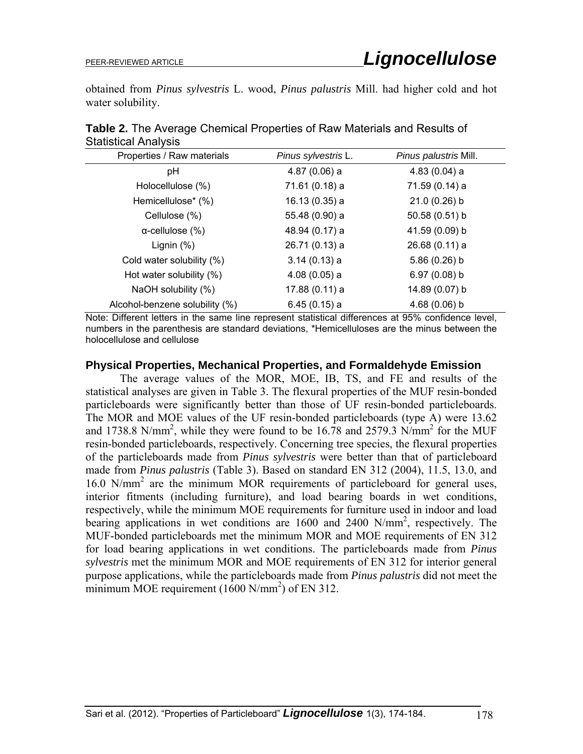obtained from *Pinus sylvestris* L. wood, *Pinus palustris* Mill. had higher cold and hot water solubility.

| <b>Olutionoui</b> / 111017010  |                     |                       |  |  |  |  |
|--------------------------------|---------------------|-----------------------|--|--|--|--|
| Properties / Raw materials     | Pinus sylvestris L. | Pinus palustris Mill. |  |  |  |  |
| рH                             | 4.87(0.06) a        | 4.83(0.04) a          |  |  |  |  |
| Holocellulose (%)              | 71.61 (0.18) a      | 71.59 (0.14) a        |  |  |  |  |
| Hemicellulose* (%)             | 16.13 (0.35) a      | $21.0(0.26)$ b        |  |  |  |  |
| Cellulose (%)                  | 55.48 (0.90) a      | 50.58 (0.51) b        |  |  |  |  |
| $\alpha$ -cellulose (%)        | 48.94 (0.17) a      | 41.59 (0.09) b        |  |  |  |  |
| Lignin $(\%)$                  | 26.71 (0.13) a      | 26.68(0.11)a          |  |  |  |  |
| Cold water solubility (%)      | 3.14(0.13) a        | $5.86(0.26)$ b        |  |  |  |  |
| Hot water solubility (%)       | 4.08(0.05) a        | 6.97(0.08) b          |  |  |  |  |
| NaOH solubility (%)            | 17.88 (0.11) a      | 14.89 (0.07) b        |  |  |  |  |
| Alcohol-benzene solubility (%) | 6.45(0.15) a        | $4.68(0.06)$ b        |  |  |  |  |

**Table 2.** The Average Chemical Properties of Raw Materials and Results of Statistical Analysis

Note: Different letters in the same line represent statistical differences at 95% confidence level, numbers in the parenthesis are standard deviations, \*Hemicelluloses are the minus between the holocellulose and cellulose

#### **Physical Properties, Mechanical Properties, and Formaldehyde Emission**

The average values of the MOR, MOE, IB, TS, and FE and results of the statistical analyses are given in Table 3. The flexural properties of the MUF resin-bonded particleboards were significantly better than those of UF resin-bonded particleboards. The MOR and MOE values of the UF resin-bonded particleboards (type A) were 13.62 and 1738.8 N/mm<sup>2</sup>, while they were found to be 16.78 and 2579.3 N/mm<sup>2</sup> for the MUF resin-bonded particleboards, respectively. Concerning tree species, the flexural properties of the particleboards made from *Pinus sylvestris* were better than that of particleboard made from *Pinus palustris* (Table 3). Based on standard EN 312 (2004), 11.5, 13.0, and 16.0 N/mm2 are the minimum MOR requirements of particleboard for general uses, interior fitments (including furniture), and load bearing boards in wet conditions, respectively, while the minimum MOE requirements for furniture used in indoor and load bearing applications in wet conditions are 1600 and 2400 N/mm<sup>2</sup>, respectively. The MUF-bonded particleboards met the minimum MOR and MOE requirements of EN 312 for load bearing applications in wet conditions. The particleboards made from *Pinus sylvestris* met the minimum MOR and MOE requirements of EN 312 for interior general purpose applications, while the particleboards made from *Pinus palustris* did not meet the minimum MOE requirement  $(1600 \text{ N/mm}^2)$  of EN 312.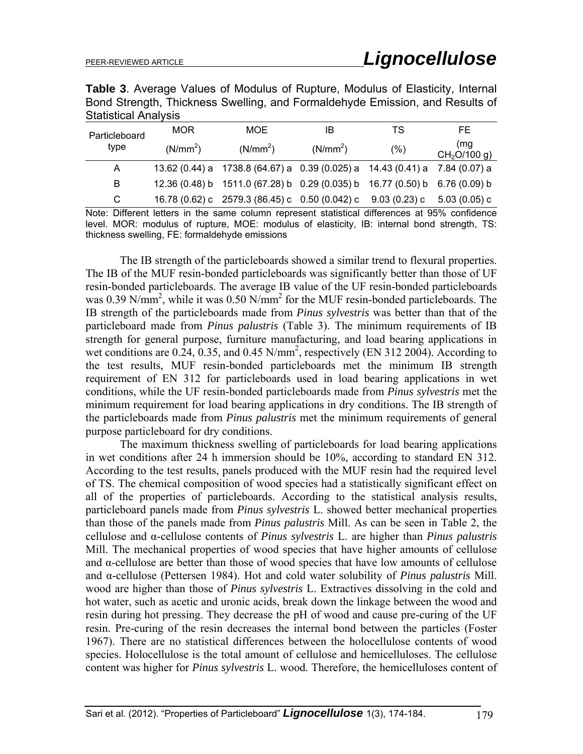**Table 3**. Average Values of Modulus of Rupture, Modulus of Elasticity, Internal Bond Strength, Thickness Swelling, and Formaldehyde Emission, and Results of Statistical Analysis

| Particleboard | <b>MOR</b>           | MOE.                                                                        | IB                   | TS.  | FE.                             |
|---------------|----------------------|-----------------------------------------------------------------------------|----------------------|------|---------------------------------|
| type          | (N/mm <sup>2</sup> ) | (N/mm <sup>2</sup> )                                                        | (N/mm <sup>2</sup> ) | (% ) | (mg<br>CH <sub>2</sub> O/100 g) |
| A             |                      | 13.62 (0.44) a 1738.8 (64.67) a 0.39 (0.025) a 14.43 (0.41) a 7.84 (0.07) a |                      |      |                                 |
| B             |                      | 12.36 (0.48) b 1511.0 (67.28) b 0.29 (0.035) b 16.77 (0.50) b 6.76 (0.09) b |                      |      |                                 |
| C.            |                      | 16.78 (0.62) c 2579.3 (86.45) c 0.50 (0.042) c 9.03 (0.23) c                |                      |      | 5.03 (0.05) c                   |

Note: Different letters in the same column represent statistical differences at 95% confidence level. MOR: modulus of rupture, MOE: modulus of elasticity, IB: internal bond strength, TS: thickness swelling, FE: formaldehyde emissions

The IB strength of the particleboards showed a similar trend to flexural properties. The IB of the MUF resin-bonded particleboards was significantly better than those of UF resin-bonded particleboards. The average IB value of the UF resin-bonded particleboards was 0.39 N/mm<sup>2</sup>, while it was 0.50 N/mm<sup>2</sup> for the MUF resin-bonded particleboards. The IB strength of the particleboards made from *Pinus sylvestris* was better than that of the particleboard made from *Pinus palustris* (Table 3). The minimum requirements of IB strength for general purpose, furniture manufacturing, and load bearing applications in wet conditions are  $0.24$ ,  $0.35$ , and  $0.45$  N/mm<sup>2</sup>, respectively (EN 312 2004). According to the test results, MUF resin-bonded particleboards met the minimum IB strength requirement of EN 312 for particleboards used in load bearing applications in wet conditions, while the UF resin-bonded particleboards made from *Pinus sylvestris* met the minimum requirement for load bearing applications in dry conditions. The IB strength of the particleboards made from *Pinus palustris* met the minimum requirements of general purpose particleboard for dry conditions.

The maximum thickness swelling of particleboards for load bearing applications in wet conditions after 24 h immersion should be 10%, according to standard EN 312. According to the test results, panels produced with the MUF resin had the required level of TS. The chemical composition of wood species had a statistically significant effect on all of the properties of particleboards. According to the statistical analysis results, particleboard panels made from *Pinus sylvestris* L. showed better mechanical properties than those of the panels made from *Pinus palustris* Mill. As can be seen in Table 2, the cellulose and α-cellulose contents of *Pinus sylvestris* L. are higher than *Pinus palustris* Mill. The mechanical properties of wood species that have higher amounts of cellulose and α-cellulose are better than those of wood species that have low amounts of cellulose and α-cellulose (Pettersen 1984). Hot and cold water solubility of *Pinus palustris* Mill. wood are higher than those of *Pinus sylvestris* L. Extractives dissolving in the cold and hot water, such as acetic and uronic acids, break down the linkage between the wood and resin during hot pressing. They decrease the pH of wood and cause pre-curing of the UF resin. Pre-curing of the resin decreases the internal bond between the particles (Foster 1967). There are no statistical differences between the holocellulose contents of wood species. Holocellulose is the total amount of cellulose and hemicelluloses. The cellulose content was higher for *Pinus sylvestris* L. wood. Therefore, the hemicelluloses content of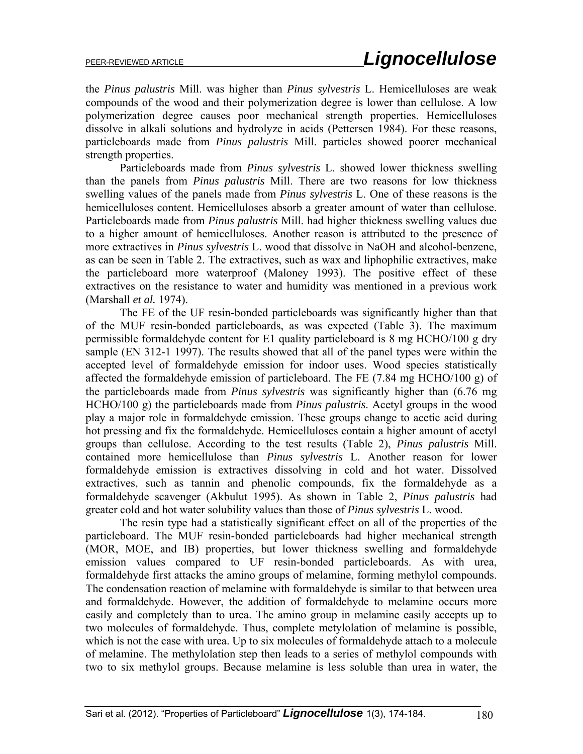the *Pinus palustris* Mill. was higher than *Pinus sylvestris* L. Hemicelluloses are weak compounds of the wood and their polymerization degree is lower than cellulose. A low polymerization degree causes poor mechanical strength properties. Hemicelluloses dissolve in alkali solutions and hydrolyze in acids (Pettersen 1984). For these reasons, particleboards made from *Pinus palustris* Mill. particles showed poorer mechanical strength properties.

Particleboards made from *Pinus sylvestris* L. showed lower thickness swelling than the panels from *Pinus palustris* Mill. There are two reasons for low thickness swelling values of the panels made from *Pinus sylvestris* L. One of these reasons is the hemicelluloses content. Hemicelluloses absorb a greater amount of water than cellulose. Particleboards made from *Pinus palustris* Mill. had higher thickness swelling values due to a higher amount of hemicelluloses. Another reason is attributed to the presence of more extractives in *Pinus sylvestris* L. wood that dissolve in NaOH and alcohol-benzene, as can be seen in Table 2. The extractives, such as wax and liphophilic extractives, make the particleboard more waterproof (Maloney 1993). The positive effect of these extractives on the resistance to water and humidity was mentioned in a previous work (Marshall *et al.* 1974).

The FE of the UF resin-bonded particleboards was significantly higher than that of the MUF resin-bonded particleboards, as was expected (Table 3). The maximum permissible formaldehyde content for E1 quality particleboard is 8 mg HCHO/100 g dry sample (EN 312-1 1997). The results showed that all of the panel types were within the accepted level of formaldehyde emission for indoor uses. Wood species statistically affected the formaldehyde emission of particleboard. The FE (7.84 mg HCHO/100 g) of the particleboards made from *Pinus sylvestris* was significantly higher than (6.76 mg HCHO/100 g) the particleboards made from *Pinus palustris*. Acetyl groups in the wood play a major role in formaldehyde emission. These groups change to acetic acid during hot pressing and fix the formaldehyde. Hemicelluloses contain a higher amount of acetyl groups than cellulose. According to the test results (Table 2), *Pinus palustris* Mill. contained more hemicellulose than *Pinus sylvestris* L. Another reason for lower formaldehyde emission is extractives dissolving in cold and hot water. Dissolved extractives, such as tannin and phenolic compounds, fix the formaldehyde as a formaldehyde scavenger (Akbulut 1995). As shown in Table 2, *Pinus palustris* had greater cold and hot water solubility values than those of *Pinus sylvestris* L. wood.

The resin type had a statistically significant effect on all of the properties of the particleboard. The MUF resin-bonded particleboards had higher mechanical strength (MOR, MOE, and IB) properties, but lower thickness swelling and formaldehyde emission values compared to UF resin-bonded particleboards. As with urea, formaldehyde first attacks the amino groups of melamine, forming methylol compounds. The condensation reaction of melamine with formaldehyde is similar to that between urea and formaldehyde. However, the addition of formaldehyde to melamine occurs more easily and completely than to urea. The amino group in melamine easily accepts up to two molecules of formaldehyde. Thus, complete metylolation of melamine is possible, which is not the case with urea. Up to six molecules of formaldehyde attach to a molecule of melamine. The methylolation step then leads to a series of methylol compounds with two to six methylol groups. Because melamine is less soluble than urea in water, the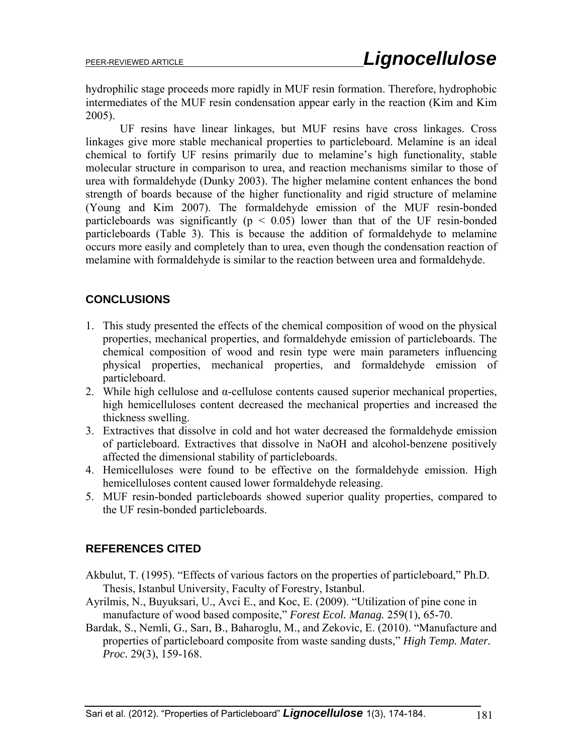hydrophilic stage proceeds more rapidly in MUF resin formation. Therefore, hydrophobic intermediates of the MUF resin condensation appear early in the reaction (Kim and Kim 2005).

UF resins have linear linkages, but MUF resins have cross linkages. Cross linkages give more stable mechanical properties to particleboard. Melamine is an ideal chemical to fortify UF resins primarily due to melamine's high functionality, stable molecular structure in comparison to urea, and reaction mechanisms similar to those of urea with formaldehyde (Dunky 2003). The higher melamine content enhances the bond strength of boards because of the higher functionality and rigid structure of melamine (Young and Kim 2007). The formaldehyde emission of the MUF resin-bonded particleboards was significantly  $(p \le 0.05)$  lower than that of the UF resin-bonded particleboards (Table 3). This is because the addition of formaldehyde to melamine occurs more easily and completely than to urea, even though the condensation reaction of melamine with formaldehyde is similar to the reaction between urea and formaldehyde.

# **CONCLUSIONS**

- 1. This study presented the effects of the chemical composition of wood on the physical properties, mechanical properties, and formaldehyde emission of particleboards. The chemical composition of wood and resin type were main parameters influencing physical properties, mechanical properties, and formaldehyde emission of particleboard.
- 2. While high cellulose and  $\alpha$ -cellulose contents caused superior mechanical properties, high hemicelluloses content decreased the mechanical properties and increased the thickness swelling.
- 3. Extractives that dissolve in cold and hot water decreased the formaldehyde emission of particleboard. Extractives that dissolve in NaOH and alcohol-benzene positively affected the dimensional stability of particleboards.
- 4. Hemicelluloses were found to be effective on the formaldehyde emission. High hemicelluloses content caused lower formaldehyde releasing.
- 5. MUF resin-bonded particleboards showed superior quality properties, compared to the UF resin-bonded particleboards.

## **REFERENCES CITED**

- Akbulut, T. (1995). "Effects of various factors on the properties of particleboard," Ph.D. Thesis, Istanbul University, Faculty of Forestry, Istanbul.
- Ayrilmis, N., Buyuksari, U., Avci E., and Koc, E. (2009). "Utilization of pine cone in manufacture of wood based composite," *Forest Ecol. Manag.* 259(1), 65-70.
- Bardak, S., Nemli, G., Sarı, B., Baharoglu, M., and Zekovic, E. (2010). "Manufacture and properties of particleboard composite from waste sanding dusts," *High Temp. Mater. Proc.* 29(3), 159-168.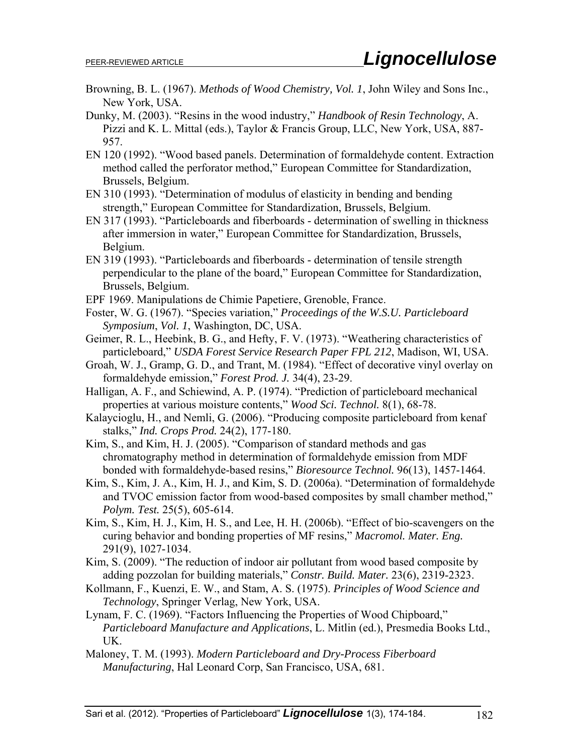- Browning, B. L. (1967). *Methods of Wood Chemistry, Vol. 1*, John Wiley and Sons Inc., New York, USA.
- Dunky, M. (2003). "Resins in the wood industry," *Handbook of Resin Technology*, A. Pizzi and K. L. Mittal (eds.), Taylor & Francis Group, LLC, New York, USA, 887- 957.
- EN 120 (1992). "Wood based panels. Determination of formaldehyde content. Extraction method called the perforator method," European Committee for Standardization, Brussels, Belgium.
- EN 310 (1993). "Determination of modulus of elasticity in bending and bending strength," European Committee for Standardization, Brussels, Belgium.
- EN 317 (1993). "Particleboards and fiberboards determination of swelling in thickness after immersion in water," European Committee for Standardization, Brussels, Belgium.
- EN 319 (1993). "Particleboards and fiberboards determination of tensile strength perpendicular to the plane of the board," European Committee for Standardization, Brussels, Belgium.
- EPF 1969. Manipulations de Chimie Papetiere, Grenoble, France.
- Foster, W. G. (1967). "Species variation," *Proceedings of the W.S.U. Particleboard Symposium*, *Vol. 1*, Washington, DC, USA.
- Geimer, R. L., Heebink, B. G., and Hefty, F. V. (1973). "Weathering characteristics of particleboard," *USDA Forest Service Research Paper FPL 212*, Madison, WI, USA.
- Groah, W. J., Gramp, G. D., and Trant, M. (1984). "Effect of decorative vinyl overlay on formaldehyde emission," *Forest Prod. J.* 34(4), 23-29.
- Halligan, A. F., and Schiewind, A. P. (1974). "Prediction of particleboard mechanical properties at various moisture contents," *Wood Sci. Technol.* 8(1), 68-78.
- Kalaycioglu, H., and Nemli, G. (2006). "Producing composite particleboard from kenaf stalks," *Ind. Crops Prod.* 24(2), 177-180.
- Kim, S., and Kim, H. J. (2005). "Comparison of standard methods and gas chromatography method in determination of formaldehyde emission from MDF bonded with formaldehyde-based resins," *Bioresource Technol.* 96(13), 1457-1464.
- Kim, S., Kim, J. A., Kim, H. J., and Kim, S. D. (2006a). "Determination of formaldehyde and TVOC emission factor from wood-based composites by small chamber method," *Polym. Test.* 25(5), 605-614.
- Kim, S., Kim, H. J., Kim, H. S., and Lee, H. H. (2006b). "Effect of bio-scavengers on the curing behavior and bonding properties of MF resins," *Macromol. Mater. Eng.* 291(9), 1027-1034.
- Kim, S. (2009). "The reduction of indoor air pollutant from wood based composite by adding pozzolan for building materials," *Constr. Build. Mater.* 23(6), 2319-2323.
- Kollmann, F., Kuenzi, E. W., and Stam, A. S. (1975). *Principles of Wood Science and Technology*, Springer Verlag, New York, USA.
- Lynam, F. C. (1969). "Factors Influencing the Properties of Wood Chipboard," *Particleboard Manufacture and Applications*, L. Mitlin (ed.), Presmedia Books Ltd., UK.
- Maloney, T. M. (1993). *Modern Particleboard and Dry-Process Fiberboard Manufacturing*, Hal Leonard Corp, San Francisco, USA, 681.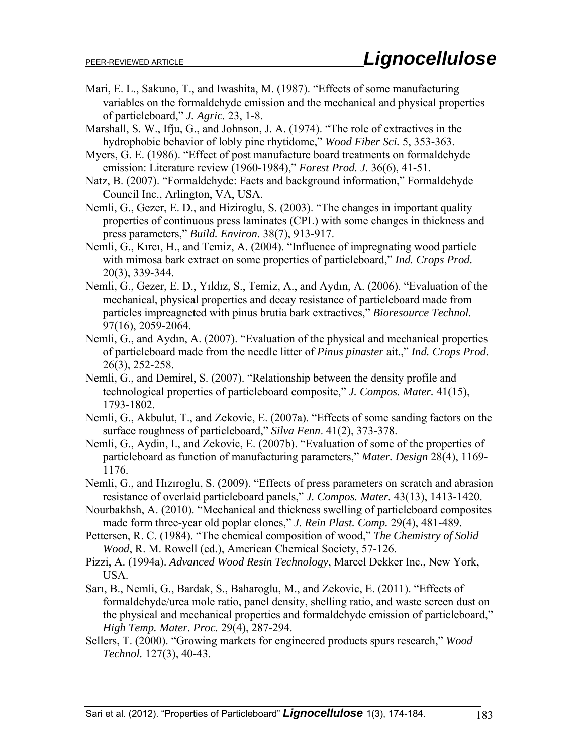- Mari, E. L., Sakuno, T., and Iwashita, M. (1987). "Effects of some manufacturing variables on the formaldehyde emission and the mechanical and physical properties of particleboard," *J. Agric.* 23, 1-8.
- Marshall, S. W., Ifju, G., and Johnson, J. A. (1974). "The role of extractives in the hydrophobic behavior of lobly pine rhytidome," *Wood Fiber Sci.* 5, 353-363.
- Myers, G. E. (1986). "Effect of post manufacture board treatments on formaldehyde emission: Literature review (1960-1984)," *Forest Prod. J.* 36(6), 41-51.
- Natz, B. (2007). "Formaldehyde: Facts and background information," Formaldehyde Council Inc., Arlington, VA, USA.
- Nemli, G., Gezer, E. D., and Hiziroglu, S. (2003). "The changes in important quality properties of continuous press laminates (CPL) with some changes in thickness and press parameters," *Build. Environ.* 38(7), 913-917.
- Nemli, G., Kırcı, H., and Temiz, A. (2004). "Influence of impregnating wood particle with mimosa bark extract on some properties of particleboard," *Ind. Crops Prod.* 20(3), 339-344.
- Nemli, G., Gezer, E. D., Yıldız, S., Temiz, A., and Aydın, A. (2006). "Evaluation of the mechanical, physical properties and decay resistance of particleboard made from particles impreagneted with pinus brutia bark extractives," *Bioresource Technol.*  97(16), 2059-2064.
- Nemli, G., and Aydın, A. (2007). "Evaluation of the physical and mechanical properties of particleboard made from the needle litter of *Pinus pinaster* ait.," *Ind. Crops Prod.* 26(3), 252-258.
- Nemli, G., and Demirel, S. (2007). "Relationship between the density profile and technological properties of particleboard composite," *J. Compos. Mater.* 41(15), 1793-1802.
- Nemli, G., Akbulut, T., and Zekovic, E. (2007a). "Effects of some sanding factors on the surface roughness of particleboard," *Silva Fenn*. 41(2), 373-378.
- Nemli, G., Aydin, I., and Zekovic, E. (2007b). "Evaluation of some of the properties of particleboard as function of manufacturing parameters," *Mater. Design* 28(4), 1169- 1176.
- Nemli, G., and Hızıroglu, S. (2009). "Effects of press parameters on scratch and abrasion resistance of overlaid particleboard panels," *J. Compos. Mater.* 43(13), 1413-1420.
- Nourbakhsh, A. (2010). "Mechanical and thickness swelling of particleboard composites made form three-year old poplar clones," *J. Rein Plast. Comp.* 29(4), 481-489.
- Pettersen, R. C. (1984). "The chemical composition of wood," *The Chemistry of Solid Wood*, R. M. Rowell (ed.), American Chemical Society, 57-126.
- Pizzi, A. (1994a). *Advanced Wood Resin Technology*, Marcel Dekker Inc., New York, USA.
- Sarı, B., Nemli, G., Bardak, S., Baharoglu, M., and Zekovic, E. (2011). "Effects of formaldehyde/urea mole ratio, panel density, shelling ratio, and waste screen dust on the physical and mechanical properties and formaldehyde emission of particleboard," *High Temp. Mater. Proc.* 29(4), 287-294.
- Sellers, T. (2000). "Growing markets for engineered products spurs research," *Wood Technol.* 127(3), 40-43.